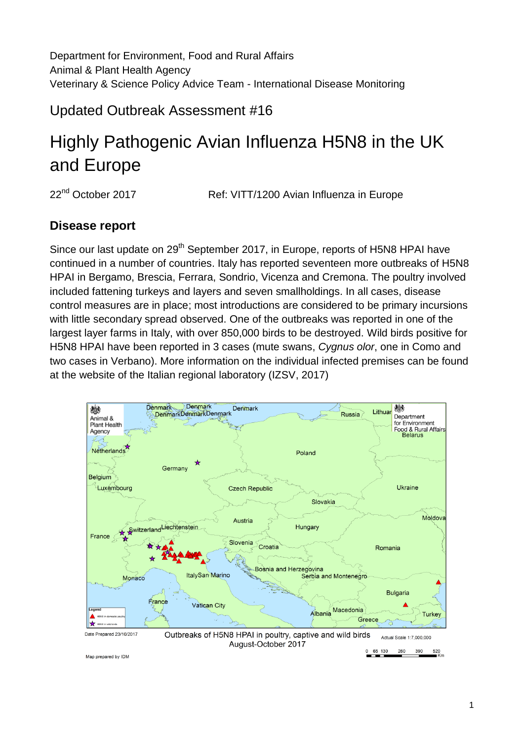Department for Environment, Food and Rural Affairs Animal & Plant Health Agency Veterinary & Science Policy Advice Team - International Disease Monitoring

Updated Outbreak Assessment #16

# Highly Pathogenic Avian Influenza H5N8 in the UK and Europe

22<sup>nd</sup> October 2017 **Ref: VITT/1200 Avian Influenza in Europe** 

## **Disease report**

Since our last update on 29<sup>th</sup> September 2017, in Europe, reports of H5N8 HPAI have continued in a number of countries. Italy has reported seventeen more outbreaks of H5N8 HPAI in Bergamo, Brescia, Ferrara, Sondrio, Vicenza and Cremona. The poultry involved included fattening turkeys and layers and seven smallholdings. In all cases, disease control measures are in place; most introductions are considered to be primary incursions with little secondary spread observed. One of the outbreaks was reported in one of the largest layer farms in Italy, with over 850,000 birds to be destroyed. Wild birds positive for H5N8 HPAI have been reported in 3 cases (mute swans, *Cygnus olor*, one in Como and two cases in Verbano). More information on the individual infected premises can be found at the website of the Italian regional laboratory (IZSV, 2017)



Map prepared by IDM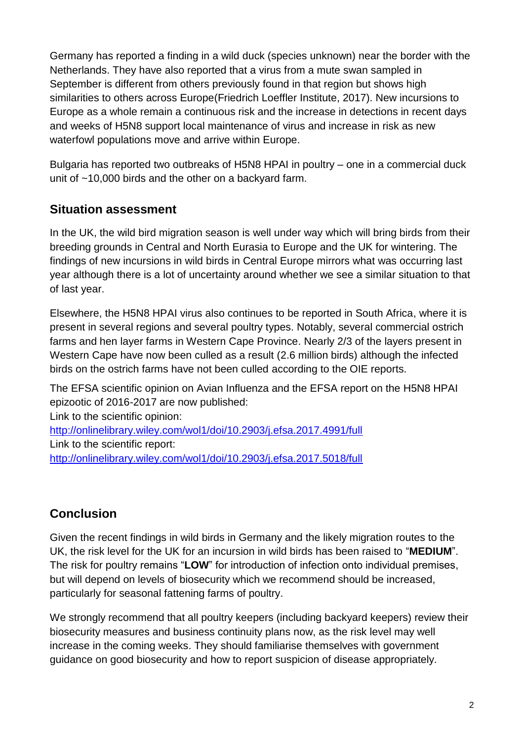Germany has reported a finding in a wild duck (species unknown) near the border with the Netherlands. They have also reported that a virus from a mute swan sampled in September is different from others previously found in that region but shows high similarities to others across Europe(Friedrich Loeffler Institute, 2017). New incursions to Europe as a whole remain a continuous risk and the increase in detections in recent days and weeks of H5N8 support local maintenance of virus and increase in risk as new waterfowl populations move and arrive within Europe.

Bulgaria has reported two outbreaks of H5N8 HPAI in poultry – one in a commercial duck unit of ~10,000 birds and the other on a backyard farm.

## **Situation assessment**

In the UK, the wild bird migration season is well under way which will bring birds from their breeding grounds in Central and North Eurasia to Europe and the UK for wintering. The findings of new incursions in wild birds in Central Europe mirrors what was occurring last year although there is a lot of uncertainty around whether we see a similar situation to that of last year.

Elsewhere, the H5N8 HPAI virus also continues to be reported in South Africa, where it is present in several regions and several poultry types. Notably, several commercial ostrich farms and hen layer farms in Western Cape Province. Nearly 2/3 of the layers present in Western Cape have now been culled as a result (2.6 million birds) although the infected birds on the ostrich farms have not been culled according to the OIE reports.

The EFSA scientific opinion on Avian Influenza and the EFSA report on the H5N8 HPAI epizootic of 2016-2017 are now published:

Link to the scientific opinion: <http://onlinelibrary.wiley.com/wol1/doi/10.2903/j.efsa.2017.4991/full> Link to the scientific report: <http://onlinelibrary.wiley.com/wol1/doi/10.2903/j.efsa.2017.5018/full>

# **Conclusion**

Given the recent findings in wild birds in Germany and the likely migration routes to the UK, the risk level for the UK for an incursion in wild birds has been raised to "**MEDIUM**". The risk for poultry remains "**LOW**" for introduction of infection onto individual premises, but will depend on levels of biosecurity which we recommend should be increased, particularly for seasonal fattening farms of poultry.

We strongly recommend that all poultry keepers (including backyard keepers) review their biosecurity measures and business continuity plans now, as the risk level may well increase in the coming weeks. They should familiarise themselves with government guidance on good biosecurity and how to report suspicion of disease appropriately.